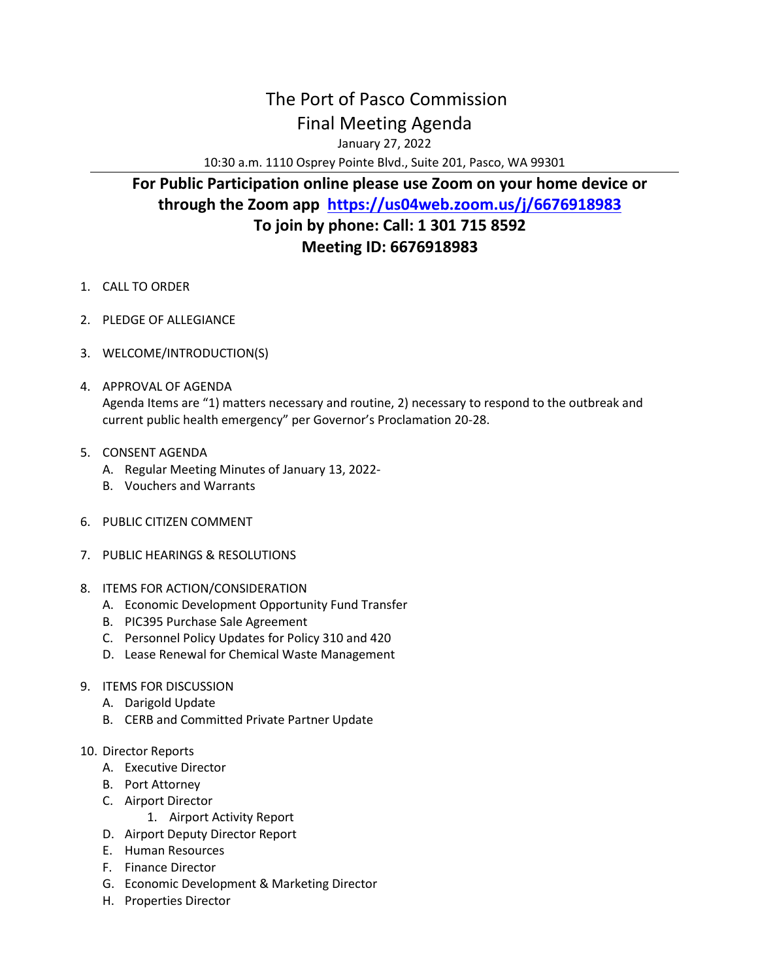## The Port of Pasco Commission Final Meeting Agenda

January 27, 2022

10:30 a.m. 1110 Osprey Pointe Blvd., Suite 201, Pasco, WA 99301

## **For Public Participation online please use Zoom on your home device or through the Zoom app <https://us04web.zoom.us/j/6676918983> To join by phone: Call: 1 301 715 8592 Meeting ID: 6676918983**

- 1. CALL TO ORDER
- 2. PLEDGE OF ALLEGIANCE
- 3. WELCOME/INTRODUCTION(S)
- 4. APPROVAL OF AGENDA Agenda Items are "1) matters necessary and routine, 2) necessary to respond to the outbreak and current public health emergency" per Governor's Proclamation 20-28.
- 5. CONSENT AGENDA
	- A. Regular Meeting Minutes of January 13, 2022-
	- B. Vouchers and Warrants
- 6. PUBLIC CITIZEN COMMENT
- 7. PUBLIC HEARINGS & RESOLUTIONS
- 8. ITEMS FOR ACTION/CONSIDERATION
	- A. Economic Development Opportunity Fund Transfer
	- B. PIC395 Purchase Sale Agreement
	- C. Personnel Policy Updates for Policy 310 and 420
	- D. Lease Renewal for Chemical Waste Management
- 9. ITEMS FOR DISCUSSION
	- A. Darigold Update
	- B. CERB and Committed Private Partner Update
- 10. Director Reports
	- A. Executive Director
	- B. Port Attorney
	- C. Airport Director
		- 1. Airport Activity Report
	- D. Airport Deputy Director Report
	- E. Human Resources
	- F. Finance Director
	- G. Economic Development & Marketing Director
	- H. Properties Director